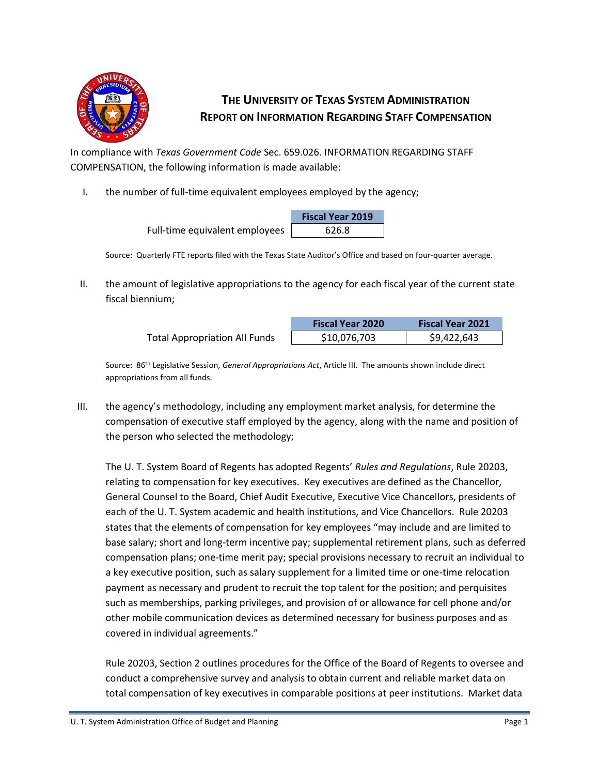

## **THE UNIVERSITY OF TEXAS SYSTEM ADMINISTRATION REPORT ON INFORMATION REGARDING STAFF COMPENSATION**

In compliance with *Texas Government Code* Sec. 659.026. INFORMATION REGARDING STAFF COMPENSATION, the following information is made available:

I. the number of full-time equivalent employees employed by the agency;

|                                | <b>Fiscal Year 2019</b> |  |
|--------------------------------|-------------------------|--|
| Full-time equivalent employees | 626.8                   |  |

Source: Quarterly FTE reports filed with the Texas State Auditor's Office and based on four-quarter average.

II. the amount of legislative appropriations to the agency for each fiscal year of the current state fiscal biennium;

|                                      | <b>Fiscal Year 2020</b> | <b>Fiscal Year 2021</b> |
|--------------------------------------|-------------------------|-------------------------|
| <b>Total Appropriation All Funds</b> | \$10,076,703            | \$9,422,643             |

Source: 86 th Legislative Session, *General Appropriations Act*, Article III. The amounts shown include direct appropriations from all funds.

III. the agency's methodology, including any employment market analysis, for determine the compensation of executive staff employed by the agency, along with the name and position of the person who selected the methodology;

The U. T. System Board of Regents has adopted Regents' *Rules and Regulations*, Rule 20203, relating to compensation for key executives. Key executives are defined as the Chancellor, General Counsel to the Board, Chief Audit Executive, Executive Vice Chancellors, presidents of each of the U. T. System academic and health institutions, and Vice Chancellors. Rule 20203 states that the elements of compensation for key employees "may include and are limited to base salary; short and long-term incentive pay; supplemental retirement plans, such as deferred compensation plans; one-time merit pay; special provisions necessary to recruit an individual to a key executive position, such as salary supplement for a limited time or one-time relocation payment as necessary and prudent to recruit the top talent for the position; and perquisites such as memberships, parking privileges, and provision of or allowance for cell phone and/or other mobile communication devices as determined necessary for business purposes and as covered in individual agreements."

Rule 20203, Section 2 outlines procedures for the Office of the Board of Regents to oversee and conduct a comprehensive survey and analysis to obtain current and reliable market data on total compensation of key executives in comparable positions at peer institutions. Market data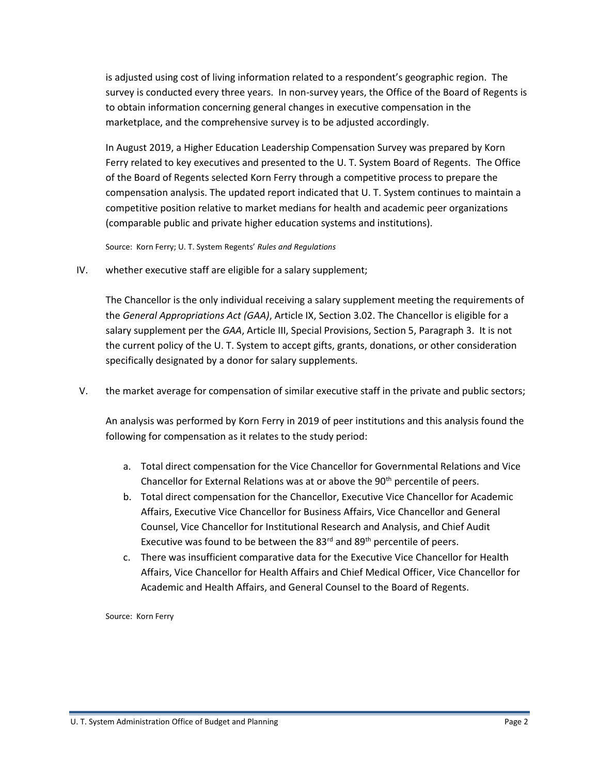is adjusted using cost of living information related to a respondent's geographic region. The survey is conducted every three years. In non-survey years, the Office of the Board of Regents is to obtain information concerning general changes in executive compensation in the marketplace, and the comprehensive survey is to be adjusted accordingly.

In August 2019, a Higher Education Leadership Compensation Survey was prepared by Korn Ferry related to key executives and presented to the U. T. System Board of Regents. The Office of the Board of Regents selected Korn Ferry through a competitive process to prepare the compensation analysis. The updated report indicated that U. T. System continues to maintain a competitive position relative to market medians for health and academic peer organizations (comparable public and private higher education systems and institutions).

Source: Korn Ferry; U. T. System Regents' *Rules and Regulations*

IV. whether executive staff are eligible for a salary supplement;

The Chancellor is the only individual receiving a salary supplement meeting the requirements of the *General Appropriations Act (GAA)*, Article IX, Section 3.02. The Chancellor is eligible for a salary supplement per the *GAA*, Article III, Special Provisions, Section 5, Paragraph 3. It is not the current policy of the U. T. System to accept gifts, grants, donations, or other consideration specifically designated by a donor for salary supplements.

V. the market average for compensation of similar executive staff in the private and public sectors;

An analysis was performed by Korn Ferry in 2019 of peer institutions and this analysis found the following for compensation as it relates to the study period:

- a. Total direct compensation for the Vice Chancellor for Governmental Relations and Vice Chancellor for External Relations was at or above the 90<sup>th</sup> percentile of peers.
- b. Total direct compensation for the Chancellor, Executive Vice Chancellor for Academic Affairs, Executive Vice Chancellor for Business Affairs, Vice Chancellor and General Counsel, Vice Chancellor for Institutional Research and Analysis, and Chief Audit Executive was found to be between the  $83<sup>rd</sup>$  and  $89<sup>th</sup>$  percentile of peers.
- c. There was insufficient comparative data for the Executive Vice Chancellor for Health Affairs, Vice Chancellor for Health Affairs and Chief Medical Officer, Vice Chancellor for Academic and Health Affairs, and General Counsel to the Board of Regents.

Source: Korn Ferry